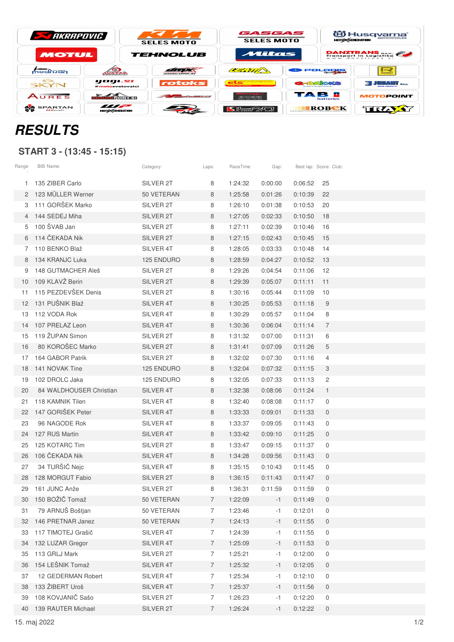| <b>STARRAPOVIC</b> |               | <b>SELES MOTO</b> | GASGAS<br><b>SELES MOTO</b> |         | 伯 Husq <u>varna</u> *<br><b>MOTORCYCLES</b><br><b>MOTO CENERATION</b>                                                                                                                                                                                                                                                                                                                                                                                                                                                                                                                                                                                                                                                                                                                                                                                                                                                                                                                                                                                                                                                                                  |  |  |
|--------------------|---------------|-------------------|-----------------------------|---------|--------------------------------------------------------------------------------------------------------------------------------------------------------------------------------------------------------------------------------------------------------------------------------------------------------------------------------------------------------------------------------------------------------------------------------------------------------------------------------------------------------------------------------------------------------------------------------------------------------------------------------------------------------------------------------------------------------------------------------------------------------------------------------------------------------------------------------------------------------------------------------------------------------------------------------------------------------------------------------------------------------------------------------------------------------------------------------------------------------------------------------------------------------|--|--|
| MOTUL              |               | <b>TEHNOLUB</b>   | Mitas                       |         | <b>DANZTRANS</b><br>Transport in Logistika                                                                                                                                                                                                                                                                                                                                                                                                                                                                                                                                                                                                                                                                                                                                                                                                                                                                                                                                                                                                                                                                                                             |  |  |
| modrijan           | <b>AVATAR</b> | WWW.WMX.SI        | CERTIF                      | POLORIS | ⊪⊸<br><b>BS&amp;#&lt;/b&gt;&lt;/th&gt;&lt;/tr&gt;&lt;tr&gt;&lt;th&gt;&lt;b&gt;GSB.&lt;/b&gt;&lt;br&gt;SKYN&lt;/th&gt;&lt;th&gt;yogı.sı&lt;br&gt;#motosvetovalci&lt;/th&gt;&lt;th&gt;rotoks&lt;/th&gt;&lt;th&gt;&lt;b&gt;AND REACTION CONTINUES IN A REAL&lt;/b&gt;&lt;/th&gt;&lt;th&gt;&lt;b&gt;REBRACKS&lt;/b&gt;&lt;/th&gt;&lt;th&gt;i Juhani &lt;sub&gt;192&lt;/sub&gt;&lt;/th&gt;&lt;/tr&gt;&lt;tr&gt;&lt;th&gt;AURES&lt;/th&gt;&lt;th&gt;&lt;u&gt;लैंगणन स्&lt;/u&gt;वेताराज्ञ&lt;/th&gt;&lt;th&gt;&lt;/th&gt;&lt;th&gt;&lt;math&gt;\mathbb{Z}&lt;/math&gt; is a &lt;math&gt;\mathbb{Z}&lt;/math&gt; in &lt;math&gt;\mathbb{Z}&lt;/math&gt;&lt;br&gt;Gam 081 411 418&lt;/th&gt;&lt;th&gt;TAB E&lt;br&gt;&lt;b&gt;batteries&lt;/b&gt;&lt;/th&gt;&lt;th&gt;&lt;b&gt;MOTOPOINT&lt;/b&gt;&lt;/th&gt;&lt;/tr&gt;&lt;tr&gt;&lt;td&gt;&lt;b&gt;SPARTAN&lt;/b&gt;&lt;br&gt;&lt;b&gt;MX&lt;/b&gt;parts&lt;/td&gt;&lt;td&gt;m&lt;br&gt;&lt;b&gt;MOTO CENERATION&lt;/b&gt;&lt;/td&gt;&lt;td&gt;&lt;/td&gt;&lt;td&gt;[기능공항][2]&lt;/td&gt;&lt;td&gt;ROBEK&lt;br&gt;PECARBTVO II&lt;/td&gt;&lt;td&gt;TRĄY&lt;/td&gt;&lt;/tr&gt;&lt;/tbody&gt;&lt;/table&gt;</b> |  |  |

## **RESULTS**

## **START 3 - (13:45 - 15:15)**

| Range | BIB Name:               | Category:  | Laps:          | RaceTime | Gap:    | Best lap: Score: Club: |                |
|-------|-------------------------|------------|----------------|----------|---------|------------------------|----------------|
| 1.    | 135 ZIBER Carlo         | SILVER 2T  | 8              | 1:24:32  | 0:00:00 | 0:06:52                | 25             |
| 2     | 123 MÜLLER Werner       | 50 VETERAN | 8              | 1:25:58  | 0:01:26 | 0:10:39                | 22             |
| 3     | 111 GORŠEK Marko        | SILVER 2T  | 8              | 1:26:10  | 0:01:38 | 0:10:53                | 20             |
| 4     | 144 SEDEJ Miha          | SILVER 2T  | 8              | 1:27:05  | 0:02:33 | 0:10:50                | 18             |
| 5     | 100 ŠVAB Jan            | SILVER 2T  | 8              | 1:27:11  | 0:02:39 | 0:10:46                | 16             |
| 6     | 114 ČEKADA Nik          | SILVER 2T  | 8              | 1:27:15  | 0:02:43 | 0:10:45                | 15             |
| 7     | 110 BENKO Blaž          | SILVER 4T  | 8              | 1:28:05  | 0:03:33 | 0:10:48                | 14             |
| 8     | 134 KRANJC Luka         | 125 ENDURO | 8              | 1:28:59  | 0:04:27 | 0:10:52                | 13             |
| 9     | 148 GUTMACHER Aleš      | SILVER 2T  | 8              | 1:29:26  | 0:04:54 | 0:11:06                | 12             |
| 10    | 109 KLAVŽ Berin         | SILVER 2T  | 8              | 1:29:39  | 0:05:07 | 0:11:11                | 11             |
| 11    | 115 PEZDEVŠEK Denis     | SILVER 2T  | 8              | 1:30:16  | 0:05:44 | 0:11:09                | 10             |
| 12    | 131 PUŠNIK Blaž         | SILVER 4T  | 8              | 1:30:25  | 0:05:53 | 0:11:18                | 9              |
| 13    | 112 VODA Rok            | SILVER 4T  | 8              | 1:30:29  | 0:05:57 | 0:11:04                | 8              |
| 14    | 107 PRELAZ Leon         | SILVER 4T  | 8              | 1:30:36  | 0:06:04 | 0:11:14                | $\overline{7}$ |
| 15    | 119 ŽUPAN Simon         | SILVER 2T  | 8              | 1:31:32  | 0:07:00 | 0:11:31                | 6              |
| 16    | 80 KOROŠEC Marko        | SILVER 2T  | 8              | 1:31:41  | 0:07:09 | 0:11:26                | 5              |
| 17    | 164 GABOR Patrik        | SILVER 2T  | 8              | 1:32:02  | 0:07:30 | 0:11:16                | 4              |
| 18    | 141 NOVAK Tine          | 125 ENDURO | 8              | 1:32:04  | 0:07:32 | 0:11:15                | 3              |
| 19    | 102 DROLC Jaka          | 125 ENDURO | 8              | 1:32:05  | 0:07:33 | 0:11:13                | 2              |
| 20    | 84 WALDHOUSER Christian | SILVER 4T  | 8              | 1:32:38  | 0:08:06 | 0:11:24                | $\mathbf{1}$   |
| 21    | 118 KAMNIK Tilen        | SILVER 4T  | 8              | 1:32:40  | 0:08:08 | 0:11:17                | 0              |
| 22    | 147 GORIŠEK Peter       | SILVER 4T  | 8              | 1:33:33  | 0:09:01 | 0:11:33                | 0              |
| 23    | 96 NAGODE Rok           | SILVER 4T  | 8              | 1:33:37  | 0:09:05 | 0:11:43                | $\mathbf 0$    |
| 24    | 127 RUS Martin          | SILVER 4T  | 8              | 1:33:42  | 0:09:10 | 0:11:25                | 0              |
| 25    | 125 KOTARC Tim          | SILVER 2T  | 8              | 1:33:47  | 0:09:15 | 0:11:37                | 0              |
| 26    | 106 ČEKADA Nik          | SILVER 4T  | 8              | 1:34:28  | 0:09:56 | 0:11:43                | $\mathbf 0$    |
| 27    | 34 TURŠIČ Nejc          | SILVER 4T  | 8              | 1:35:15  | 0:10:43 | 0:11:45                | 0              |
| 28    | 128 MORGUT Fabio        | SILVER 2T  | 8              | 1:36:15  | 0:11:43 | 0:11:47                | $\mathbf 0$    |
| 29    | 161 JUNC Anže           | SILVER 2T  | 8              | 1:36:31  | 0:11:59 | 0:11:59                | 0              |
| 30    | 150 BOŽIČ Tomaž         | 50 VETERAN | $\overline{7}$ | 1:22:09  | $-1$    | 0:11:49                | 0              |
| 31    | 79 ARNUŠ Boštjan        | 50 VETERAN | 7              | 1:23:46  | $-1$    | 0:12:01                | 0              |
| 32    | 146 PRETNAR Janez       | 50 VETERAN | 7              | 1:24:13  | $-1$    | 0:11:55                | 0              |
| 33    | 117 TIMOTEJ Grašič      | SILVER 4T  | 7              | 1:24:39  | $-1$    | 0:11:55                | 0              |
| 34    | 132 LUZAR Gregor        | SILVER 4T  | 7              | 1:25:09  | $-1$    | 0:11:53                | 0              |
| 35    | 113 GRLJ Mark           | SILVER 2T  | 7              | 1:25:21  | -1      | 0:12:00                | 0              |
| 36    | 154 LEŠNIK Tomaž        | SILVER 4T  | $\overline{7}$ | 1:25:32  | $-1$    | 0:12:05                | $\overline{0}$ |
| 37    | 12 GEDERMAN Robert      | SILVER 4T  | 7              | 1:25:34  | -1      | 0:12:10                | 0              |
| 38    | 133 ŽIBERT Uroš         | SILVER 4T  | 7              | 1:25:37  | $-1$    | 0:11:56                | 0              |
| 39    | 108 KOVJANIČ Sašo       | SILVER 2T  | 7              | 1:26:23  | $-1$    | 0:12:20                | 0              |
| 40    | 139 RAUTER Michael      | SILVER 2T  | 7              | 1:26:24  | $-1$    | 0:12:22                | 0              |